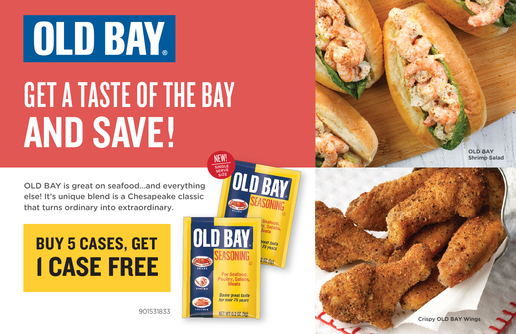# **OLD BAY**

## GET A TASTE OF THE BAY AND SAVE!

OLD BAY is great on seafood...and everything else! It's unique blend is a Chesapeake classic that turns ordinary into extraordinary.

### BUY 5 CASES, GET 1 CASE FREE

901531833



NET WT 0.2 07 (5a)

**OLD BAY Shrimp Salad**

**Crispy OLD BAY Wings**